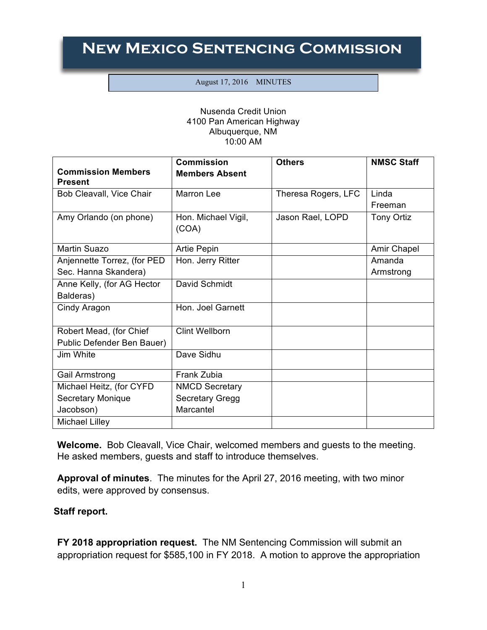## **New Mexico Sentencing Commission**

## August 17, 2016 MINUTES

## Nusenda Credit Union 4100 Pan American Highway Albuquerque, NM 10:00 AM

|                                             | <b>Commission</b>            | <b>Others</b>       | <b>NMSC Staff</b> |
|---------------------------------------------|------------------------------|---------------------|-------------------|
| <b>Commission Members</b><br><b>Present</b> | <b>Members Absent</b>        |                     |                   |
| Bob Cleavall, Vice Chair                    | Marron Lee                   | Theresa Rogers, LFC | Linda             |
|                                             |                              |                     | Freeman           |
| Amy Orlando (on phone)                      | Hon. Michael Vigil,<br>(COA) | Jason Rael, LOPD    | <b>Tony Ortiz</b> |
|                                             |                              |                     |                   |
| <b>Martin Suazo</b>                         | <b>Artie Pepin</b>           |                     | Amir Chapel       |
| Anjennette Torrez, (for PED                 | Hon. Jerry Ritter            |                     | Amanda            |
| Sec. Hanna Skandera)                        |                              |                     | Armstrong         |
| Anne Kelly, (for AG Hector                  | David Schmidt                |                     |                   |
| Balderas)                                   |                              |                     |                   |
| Cindy Aragon                                | Hon. Joel Garnett            |                     |                   |
| Robert Mead, (for Chief                     | <b>Clint Wellborn</b>        |                     |                   |
| Public Defender Ben Bauer)                  |                              |                     |                   |
| Jim White                                   | Dave Sidhu                   |                     |                   |
| Gail Armstrong                              | Frank Zubia                  |                     |                   |
| Michael Heitz, (for CYFD                    | <b>NMCD Secretary</b>        |                     |                   |
| <b>Secretary Monique</b>                    | <b>Secretary Gregg</b>       |                     |                   |
| Jacobson)                                   | Marcantel                    |                     |                   |
| <b>Michael Lilley</b>                       |                              |                     |                   |

**Welcome.** Bob Cleavall, Vice Chair, welcomed members and guests to the meeting. He asked members, guests and staff to introduce themselves.

**Approval of minutes**. The minutes for the April 27, 2016 meeting, with two minor edits, were approved by consensus.

## **Staff report.**

**FY 2018 appropriation request.** The NM Sentencing Commission will submit an appropriation request for \$585,100 in FY 2018. A motion to approve the appropriation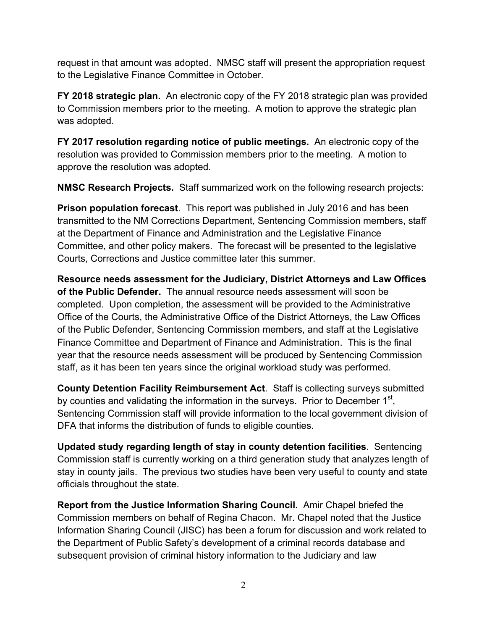request in that amount was adopted. NMSC staff will present the appropriation request to the Legislative Finance Committee in October.

**FY 2018 strategic plan.** An electronic copy of the FY 2018 strategic plan was provided to Commission members prior to the meeting. A motion to approve the strategic plan was adopted.

**FY 2017 resolution regarding notice of public meetings.** An electronic copy of the resolution was provided to Commission members prior to the meeting. A motion to approve the resolution was adopted.

**NMSC Research Projects.** Staff summarized work on the following research projects:

**Prison population forecast**. This report was published in July 2016 and has been transmitted to the NM Corrections Department, Sentencing Commission members, staff at the Department of Finance and Administration and the Legislative Finance Committee, and other policy makers. The forecast will be presented to the legislative Courts, Corrections and Justice committee later this summer.

**Resource needs assessment for the Judiciary, District Attorneys and Law Offices of the Public Defender.** The annual resource needs assessment will soon be completed. Upon completion, the assessment will be provided to the Administrative Office of the Courts, the Administrative Office of the District Attorneys, the Law Offices of the Public Defender, Sentencing Commission members, and staff at the Legislative Finance Committee and Department of Finance and Administration. This is the final year that the resource needs assessment will be produced by Sentencing Commission staff, as it has been ten years since the original workload study was performed.

**County Detention Facility Reimbursement Act**. Staff is collecting surveys submitted by counties and validating the information in the surveys. Prior to December  $1<sup>st</sup>$ , Sentencing Commission staff will provide information to the local government division of DFA that informs the distribution of funds to eligible counties.

**Updated study regarding length of stay in county detention facilities**. Sentencing Commission staff is currently working on a third generation study that analyzes length of stay in county jails. The previous two studies have been very useful to county and state officials throughout the state.

**Report from the Justice Information Sharing Council.** Amir Chapel briefed the Commission members on behalf of Regina Chacon. Mr. Chapel noted that the Justice Information Sharing Council (JISC) has been a forum for discussion and work related to the Department of Public Safety's development of a criminal records database and subsequent provision of criminal history information to the Judiciary and law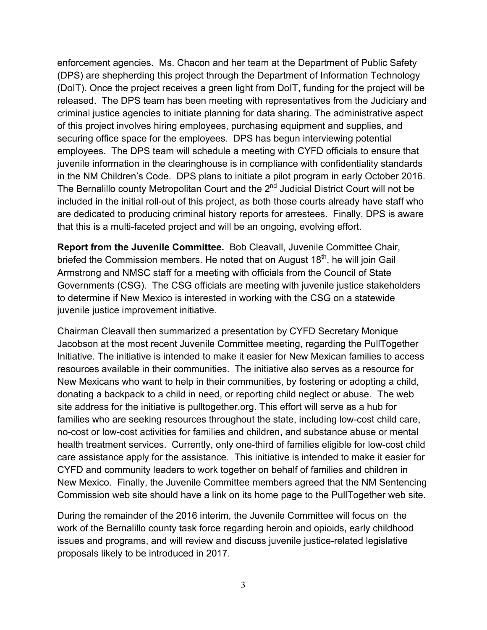enforcement agencies.Ms. Chacon and her team at the Department of Public Safety (DPS) are shepherding this project through the Department of Information Technology (DoIT). Once the project receives a green light from DoIT, funding for the project will be released. The DPS team has been meeting with representatives from the Judiciary and criminal justice agencies to initiate planning for data sharing. The administrative aspect of this project involves hiring employees, purchasing equipment and supplies, and securing office space for the employees. DPS has begun interviewing potential employees. The DPS team will schedule a meeting with CYFD officials to ensure that juvenile information in the clearinghouse is in compliance with confidentiality standards in the NM Children's Code. DPS plans to initiate a pilot program in early October 2016. The Bernalillo county Metropolitan Court and the 2<sup>nd</sup> Judicial District Court will not be included in the initial roll-out of this project, as both those courts already have staff who are dedicated to producing criminal history reports for arrestees. Finally, DPS is aware that this is a multi-faceted project and will be an ongoing, evolving effort.

**Report from the Juvenile Committee.** Bob Cleavall, Juvenile Committee Chair, briefed the Commission members. He noted that on August  $18<sup>th</sup>$ , he will join Gail Armstrong and NMSC staff for a meeting with officials from the Council of State Governments (CSG). The CSG officials are meeting with juvenile justice stakeholders to determine if New Mexico is interested in working with the CSG on a statewide juvenile justice improvement initiative.

Chairman Cleavall then summarized a presentation by CYFD Secretary Monique Jacobson at the most recent Juvenile Committee meeting, regarding the PullTogether Initiative. The initiative is intended to make it easier for New Mexican families to access resources available in their communities. The initiative also serves as a resource for New Mexicans who want to help in their communities, by fostering or adopting a child, donating a backpack to a child in need, or reporting child neglect or abuse. The web site address for the initiative is pulltogether.org. This effort will serve as a hub for families who are seeking resources throughout the state, including low-cost child care, no-cost or low-cost activities for families and children, and substance abuse or mental health treatment services. Currently, only one-third of families eligible for low-cost child care assistance apply for the assistance. This initiative is intended to make it easier for CYFD and community leaders to work together on behalf of families and children in New Mexico. Finally, the Juvenile Committee members agreed that the NM Sentencing Commission web site should have a link on its home page to the PullTogether web site.

During the remainder of the 2016 interim, the Juvenile Committee will focus on the work of the Bernalillo county task force regarding heroin and opioids, early childhood issues and programs, and will review and discuss juvenile justice-related legislative proposals likely to be introduced in 2017.